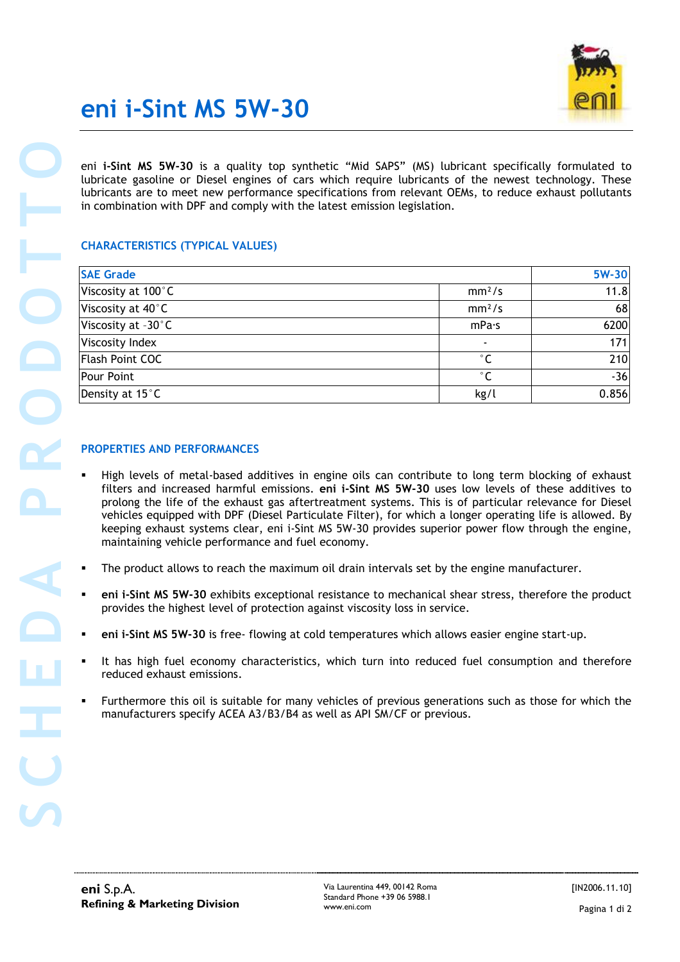

# eni i-Sint MS 5W-30

### CHARACTERISTICS (TYPICAL VALUES)

| eni i-Sint MS 5W-30 is a quality top synthetic "Mid SAPS" (MS) lubricant specifically formulated to<br>lubricate gasoline or Diesel engines of cars which require lubricants of the newest technology. These                                                                                                                             |                    |       |
|------------------------------------------------------------------------------------------------------------------------------------------------------------------------------------------------------------------------------------------------------------------------------------------------------------------------------------------|--------------------|-------|
| lubricants are to meet new performance specifications from relevant OEMs, to reduce exhaust pollutants<br>in combination with DPF and comply with the latest emission legislation.                                                                                                                                                       |                    |       |
| <b>CHARACTERISTICS (TYPICAL VALUES)</b>                                                                                                                                                                                                                                                                                                  |                    |       |
| <b>SAE Grade</b>                                                                                                                                                                                                                                                                                                                         |                    | 5W-30 |
| Viscosity at 100°C                                                                                                                                                                                                                                                                                                                       | mm <sup>2</sup> /s | 11.8  |
| Viscosity at 40°C                                                                                                                                                                                                                                                                                                                        | mm <sup>2</sup> /s | 68    |
| Viscosity at -30°C                                                                                                                                                                                                                                                                                                                       | mPa·s              | 6200  |
| Viscosity Index                                                                                                                                                                                                                                                                                                                          |                    | 171   |
| Flash Point COC                                                                                                                                                                                                                                                                                                                          | $^{\circ}$ C       | 210   |
| Pour Point                                                                                                                                                                                                                                                                                                                               | $^{\circ}$ C       | $-36$ |
| Density at 15°C                                                                                                                                                                                                                                                                                                                          | kg/l               | 0.856 |
| maintaining vehicle performance and fuel economy.<br>The product allows to reach the maximum oil drain intervals set by the engine manufacturer.<br>eni i-Sint MS 5W-30 exhibits exceptional resistance to mechanical shear stress, therefore the product<br>provides the highest level of protection against viscosity loss in service. |                    |       |
| eni i-Sint MS 5W-30 is free- flowing at cold temperatures which allows easier engine start-up.                                                                                                                                                                                                                                           |                    |       |
| It has high fuel economy characteristics, which turn into reduced fuel consumption and therefore<br>reduced exhaust emissions.                                                                                                                                                                                                           |                    |       |
| Furthermore this oil is suitable for many vehicles of previous generations such as those for which the<br>٠<br>manufacturers specify ACEA A3/B3/B4 as well as API SM/CF or previous.                                                                                                                                                     |                    |       |
|                                                                                                                                                                                                                                                                                                                                          |                    |       |
|                                                                                                                                                                                                                                                                                                                                          |                    |       |

### PROPERTIES AND PERFORMANCES

- High levels of metal-based additives in engine oils can contribute to long term blocking of exhaust filters and increased harmful emissions. eni i-Sint MS 5W-30 uses low levels of these additives to prolong the life of the exhaust gas aftertreatment systems. This is of particular relevance for Diesel vehicles equipped with DPF (Diesel Particulate Filter), for which a longer operating life is allowed. By keeping exhaust systems clear, eni i-Sint MS 5W-30 provides superior power flow through the engine, maintaining vehicle performance and fuel economy.
- The product allows to reach the maximum oil drain intervals set by the engine manufacturer.
- eni i-Sint MS 5W-30 exhibits exceptional resistance to mechanical shear stress, therefore the product provides the highest level of protection against viscosity loss in service.
- eni i-Sint MS 5W-30 is free- flowing at cold temperatures which allows easier engine start-up.
- It has high fuel economy characteristics, which turn into reduced fuel consumption and therefore reduced exhaust emissions.
- Furthermore this oil is suitable for many vehicles of previous generations such as those for which the manufacturers specify ACEA A3/B3/B4 as well as API SM/CF or previous.